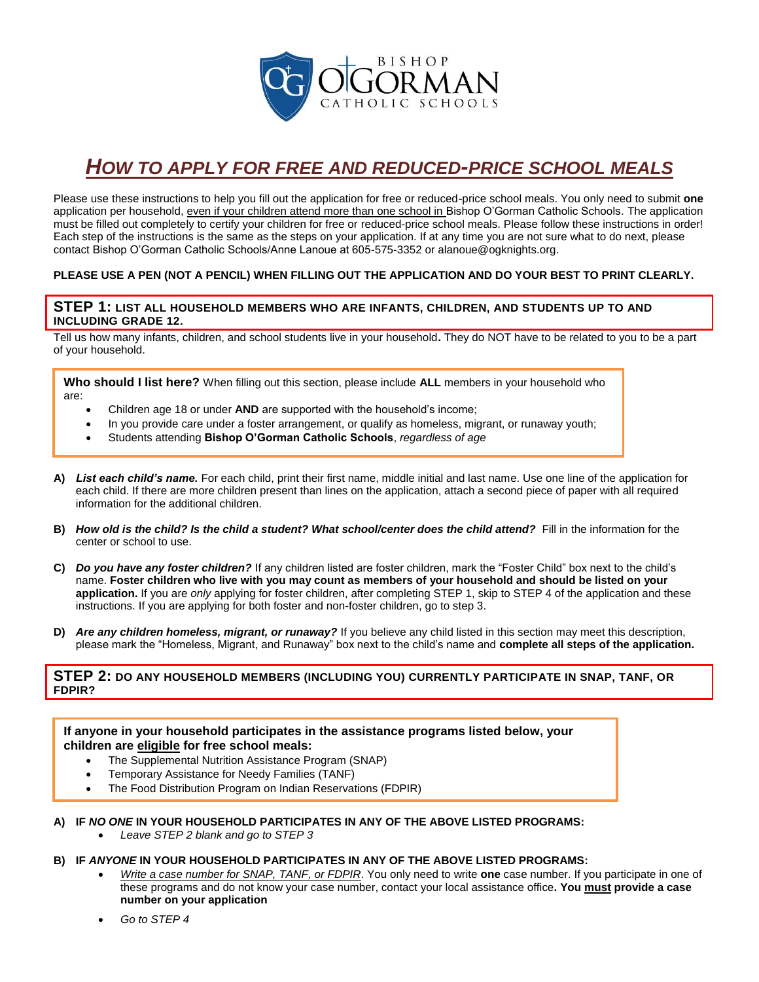

# *HOW TO APPLY FOR FREE AND REDUCED-PRICE SCHOOL MEALS*

Please use these instructions to help you fill out the application for free or reduced-price school meals. You only need to submit **one** application per household, even if your children attend more than one school in Bishop O'Gorman Catholic Schools. The application must be filled out completely to certify your children for free or reduced-price school meals. Please follow these instructions in order! Each step of the instructions is the same as the steps on your application. If at any time you are not sure what to do next, please contact Bishop O'Gorman Catholic Schools/Anne Lanoue at 605-575-3352 or alanoue@ogknights.org.

## **PLEASE USE A PEN (NOT A PENCIL) WHEN FILLING OUT THE APPLICATION AND DO YOUR BEST TO PRINT CLEARLY.**

## **STEP 1: LIST ALL HOUSEHOLD MEMBERS WHO ARE INFANTS, CHILDREN, AND STUDENTS UP TO AND INCLUDING GRADE 12.**

Tell us how many infants, children, and school students live in your household**.** They do NOT have to be related to you to be a part of your household.

**Who should I list here?** When filling out this section, please include **ALL** members in your household who are:

- Children age 18 or under **AND** are supported with the household's income;
- In you provide care under a foster arrangement, or qualify as homeless, migrant, or runaway youth;
- Students attending **Bishop O'Gorman Catholic Schools**, *regardless of age*
- **A)** *List each child's name.* For each child, print their first name, middle initial and last name. Use one line of the application for each child. If there are more children present than lines on the application, attach a second piece of paper with all required information for the additional children.
- **B)** *How old is the child? Is the child a student? What school/center does the child attend?* Fill in the information for the center or school to use.
- **C)** *Do you have any foster children?* If any children listed are foster children, mark the "Foster Child" box next to the child's name. **Foster children who live with you may count as members of your household and should be listed on your application.** If you are *only* applying for foster children, after completing STEP 1, skip to STEP 4 of the application and these instructions. If you are applying for both foster and non-foster children, go to step 3.
- **D)** *Are any children homeless, migrant, or runaway?* If you believe any child listed in this section may meet this description, please mark the "Homeless, Migrant, and Runaway" box next to the child's name and **complete all steps of the application.**

## **STEP 2: DO ANY HOUSEHOLD MEMBERS (INCLUDING YOU) CURRENTLY PARTICIPATE IN SNAP, TANF, OR FDPIR?**

**If anyone in your household participates in the assistance programs listed below, your children are eligible for free school meals:**

- The Supplemental Nutrition Assistance Program (SNAP)
- Temporary Assistance for Needy Families (TANF)
- The Food Distribution Program on Indian Reservations (FDPIR)

## **A) IF** *NO ONE* **IN YOUR HOUSEHOLD PARTICIPATES IN ANY OF THE ABOVE LISTED PROGRAMS:**

• *Leave STEP 2 blank and go to STEP 3*

## **B) IF** *ANYONE* **IN YOUR HOUSEHOLD PARTICIPATES IN ANY OF THE ABOVE LISTED PROGRAMS:**

- *Write a case number for SNAP, TANF, or FDPIR*. You only need to write **one** case number. If you participate in one of these programs and do not know your case number, contact your local assistance office**. You must provide a case number on your application**
- *Go to STEP 4*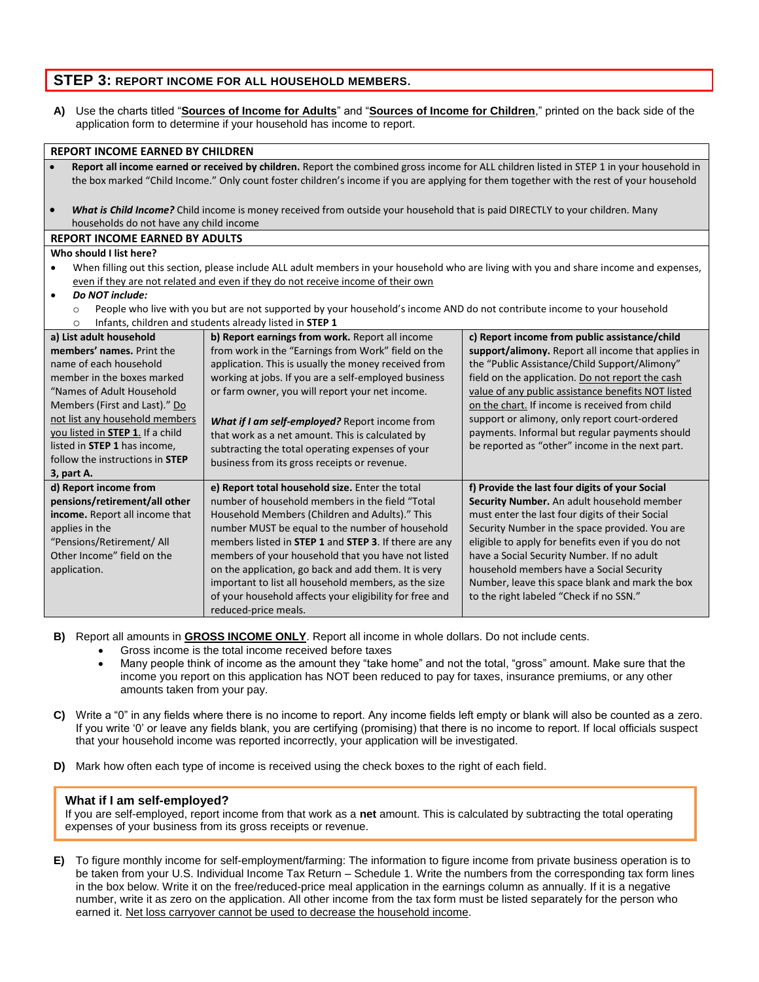# **STEP 3: REPORT INCOME FOR ALL HOUSEHOLD MEMBERS.**

**A)** Use the charts titled "**Sources of Income for Adults**" and "**Sources of Income for Children**," printed on the back side of the application form to determine if your household has income to report.

#### **REPORT INCOME EARNED BY CHILDREN**

- **Report all income earned or received by children.** Report the combined gross income for ALL children listed in STEP 1 in your household in the box marked "Child Income." Only count foster children's income if you are applying for them together with the rest of your household
- *What is Child Income?* Child income is money received from outside your household that is paid DIRECTLY to your children. Many households do not have any child income

#### **REPORT INCOME EARNED BY ADULTS**

#### **Who should I list here?**

When filling out this section, please include ALL adult members in your household who are living with you and share income and expenses, even if they are not related and even if they do not receive income of their own

• *Do NOT include:* 

- $\circ$  People who live with you but are not supported by your household's income AND do not contribute income to your household
- o Infants, children and students already listed in **STEP 1**

| THE TIME OF THE REAL SECTION OF CALCULATION OF THE T |                                                         |                                                    |  |
|------------------------------------------------------|---------------------------------------------------------|----------------------------------------------------|--|
| a) List adult household                              | b) Report earnings from work. Report all income         | c) Report income from public assistance/child      |  |
| members' names. Print the                            | from work in the "Earnings from Work" field on the      | support/alimony. Report all income that applies in |  |
| name of each household                               | application. This is usually the money received from    | the "Public Assistance/Child Support/Alimony"      |  |
| member in the boxes marked                           | working at jobs. If you are a self-employed business    | field on the application. Do not report the cash   |  |
| "Names of Adult Household                            | or farm owner, you will report your net income.         | value of any public assistance benefits NOT listed |  |
| Members (First and Last)." Do                        |                                                         | on the chart. If income is received from child     |  |
| not list any household members                       | What if I am self-employed? Report income from          | support or alimony, only report court-ordered      |  |
| you listed in <b>STEP 1</b> . If a child             | that work as a net amount. This is calculated by        | payments. Informal but regular payments should     |  |
| listed in <b>STEP 1</b> has income,                  | subtracting the total operating expenses of your        | be reported as "other" income in the next part.    |  |
| follow the instructions in <b>STEP</b>               | business from its gross receipts or revenue.            |                                                    |  |
| 3, part A.                                           |                                                         |                                                    |  |
| d) Report income from                                | e) Report total household size. Enter the total         | f) Provide the last four digits of your Social     |  |
| pensions/retirement/all other                        | number of household members in the field "Total         | Security Number. An adult household member         |  |
| income. Report all income that                       | Household Members (Children and Adults)." This          | must enter the last four digits of their Social    |  |
| applies in the                                       | number MUST be equal to the number of household         | Security Number in the space provided. You are     |  |
| "Pensions/Retirement/ All                            | members listed in STEP 1 and STEP 3. If there are any   | eligible to apply for benefits even if you do not  |  |
| Other Income" field on the                           | members of your household that you have not listed      | have a Social Security Number. If no adult         |  |
| application.                                         | on the application, go back and add them. It is very    | household members have a Social Security           |  |
|                                                      | important to list all household members, as the size    | Number, leave this space blank and mark the box    |  |
|                                                      | of your household affects your eligibility for free and | to the right labeled "Check if no SSN."            |  |
|                                                      | reduced-price meals.                                    |                                                    |  |

**B)** Report all amounts in **GROSS INCOME ONLY**. Report all income in whole dollars. Do not include cents.

- Gross income is the total income received before taxes
- Many people think of income as the amount they "take home" and not the total, "gross" amount. Make sure that the income you report on this application has NOT been reduced to pay for taxes, insurance premiums, or any other amounts taken from your pay.
- **C)** Write a "0" in any fields where there is no income to report. Any income fields left empty or blank will also be counted as a zero. If you write '0' or leave any fields blank, you are certifying (promising) that there is no income to report. If local officials suspect that your household income was reported incorrectly, your application will be investigated.
- **D)** Mark how often each type of income is received using the check boxes to the right of each field.

#### **What if I am self-employed?**

If you are self-employed, report income from that work as a **net** amount. This is calculated by subtracting the total operating expenses of your business from its gross receipts or revenue.

**E)** To figure monthly income for self-employment/farming: The information to figure income from private business operation is to be taken from your U.S. Individual Income Tax Return – Schedule 1. Write the numbers from the corresponding tax form lines in the box below. Write it on the free/reduced-price meal application in the earnings column as annually. If it is a negative number, write it as zero on the application. All other income from the tax form must be listed separately for the person who earned it. Net loss carryover cannot be used to decrease the household income.